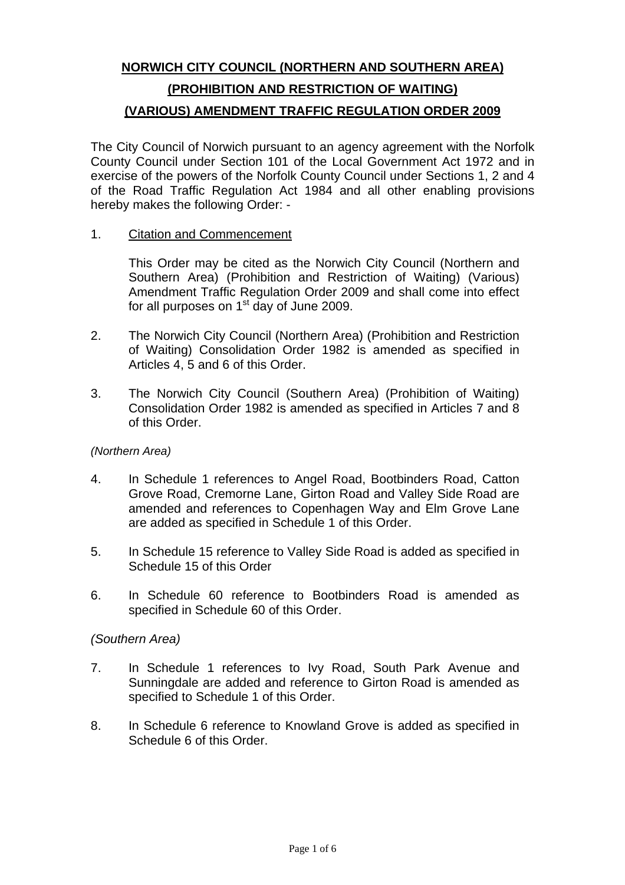# **NORWICH CITY COUNCIL (NORTHERN AND SOUTHERN AREA) (PROHIBITION AND RESTRICTION OF WAITING) (VARIOUS) AMENDMENT TRAFFIC REGULATION ORDER 2009**

The City Council of Norwich pursuant to an agency agreement with the Norfolk County Council under Section 101 of the Local Government Act 1972 and in exercise of the powers of the Norfolk County Council under Sections 1, 2 and 4 of the Road Traffic Regulation Act 1984 and all other enabling provisions hereby makes the following Order: -

1. Citation and Commencement

 This Order may be cited as the Norwich City Council (Northern and Southern Area) (Prohibition and Restriction of Waiting) (Various) Amendment Traffic Regulation Order 2009 and shall come into effect for all purposes on  $1<sup>st</sup>$  day of June 2009.

- 2. The Norwich City Council (Northern Area) (Prohibition and Restriction of Waiting) Consolidation Order 1982 is amended as specified in Articles 4, 5 and 6 of this Order.
- 3. The Norwich City Council (Southern Area) (Prohibition of Waiting) Consolidation Order 1982 is amended as specified in Articles 7 and 8 of this Order.

# *(Northern Area)*

- 4. In Schedule 1 references to Angel Road, Bootbinders Road, Catton Grove Road, Cremorne Lane, Girton Road and Valley Side Road are amended and references to Copenhagen Way and Elm Grove Lane are added as specified in Schedule 1 of this Order.
- 5. In Schedule 15 reference to Valley Side Road is added as specified in Schedule 15 of this Order
- 6. In Schedule 60 reference to Bootbinders Road is amended as specified in Schedule 60 of this Order.

# *(Southern Area)*

- 7. In Schedule 1 references to Ivy Road, South Park Avenue and Sunningdale are added and reference to Girton Road is amended as specified to Schedule 1 of this Order.
- 8. In Schedule 6 reference to Knowland Grove is added as specified in Schedule 6 of this Order.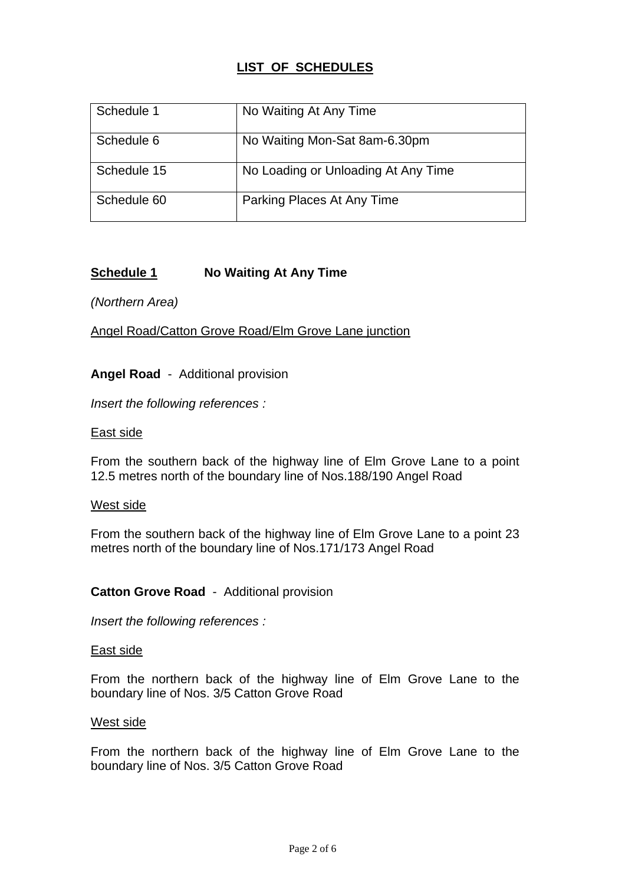# **LIST OF SCHEDULES**

| Schedule 1  | No Waiting At Any Time              |
|-------------|-------------------------------------|
| Schedule 6  | No Waiting Mon-Sat 8am-6.30pm       |
| Schedule 15 | No Loading or Unloading At Any Time |
| Schedule 60 | Parking Places At Any Time          |

# **Schedule 1** No Waiting At Any Time

*(Northern Area)* 

Angel Road/Catton Grove Road/Elm Grove Lane junction

**Angel Road** - Additional provision

*Insert the following references :*

## East side

From the southern back of the highway line of Elm Grove Lane to a point 12.5 metres north of the boundary line of Nos.188/190 Angel Road

## West side

From the southern back of the highway line of Elm Grove Lane to a point 23 metres north of the boundary line of Nos.171/173 Angel Road

# **Catton Grove Road** - Additional provision

*Insert the following references :*

## East side

From the northern back of the highway line of Elm Grove Lane to the boundary line of Nos. 3/5 Catton Grove Road

## West side

From the northern back of the highway line of Elm Grove Lane to the boundary line of Nos. 3/5 Catton Grove Road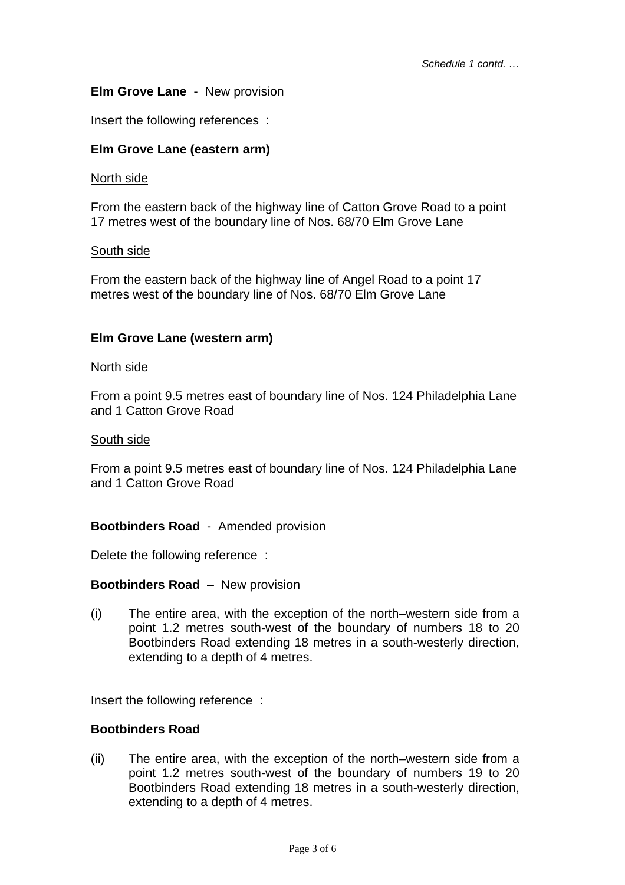# **Elm Grove Lane** - New provision

Insert the following references :

## **Elm Grove Lane (eastern arm)**

## North side

From the eastern back of the highway line of Catton Grove Road to a point 17 metres west of the boundary line of Nos. 68/70 Elm Grove Lane

## South side

From the eastern back of the highway line of Angel Road to a point 17 metres west of the boundary line of Nos. 68/70 Elm Grove Lane

## **Elm Grove Lane (western arm)**

#### North side

From a point 9.5 metres east of boundary line of Nos. 124 Philadelphia Lane and 1 Catton Grove Road

#### South side

From a point 9.5 metres east of boundary line of Nos. 124 Philadelphia Lane and 1 Catton Grove Road

## **Bootbinders Road** - Amended provision

Delete the following reference :

## **Bootbinders Road** – New provision

(i) The entire area, with the exception of the north–western side from a point 1.2 metres south-west of the boundary of numbers 18 to 20 Bootbinders Road extending 18 metres in a south-westerly direction, extending to a depth of 4 metres.

Insert the following reference :

## **Bootbinders Road**

(ii) The entire area, with the exception of the north–western side from a point 1.2 metres south-west of the boundary of numbers 19 to 20 Bootbinders Road extending 18 metres in a south-westerly direction, extending to a depth of 4 metres.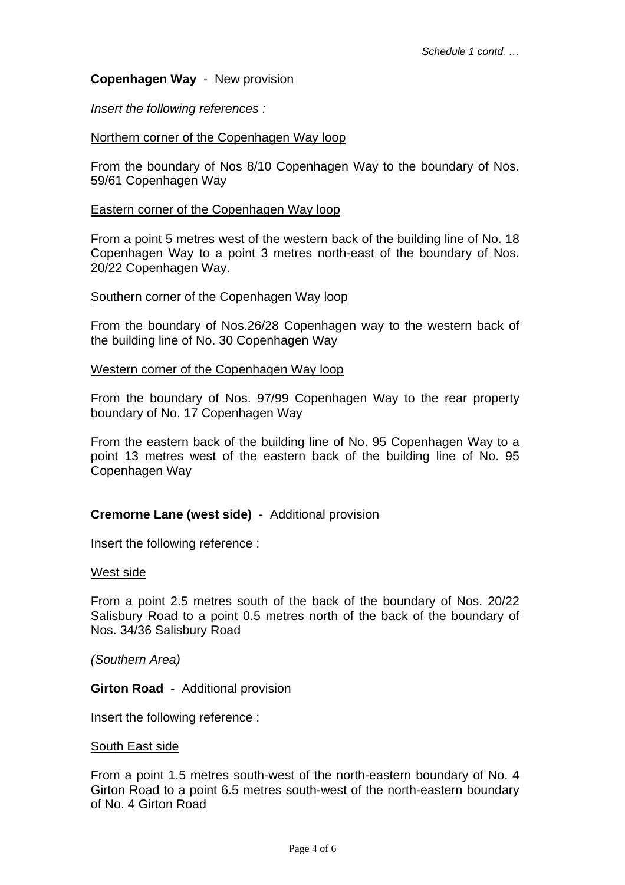## **Copenhagen Way** - New provision

*Insert the following references :*

## Northern corner of the Copenhagen Way loop

From the boundary of Nos 8/10 Copenhagen Way to the boundary of Nos. 59/61 Copenhagen Way

## Eastern corner of the Copenhagen Way loop

From a point 5 metres west of the western back of the building line of No. 18 Copenhagen Way to a point 3 metres north-east of the boundary of Nos. 20/22 Copenhagen Way.

#### Southern corner of the Copenhagen Way loop

From the boundary of Nos.26/28 Copenhagen way to the western back of the building line of No. 30 Copenhagen Way

#### Western corner of the Copenhagen Way loop

From the boundary of Nos. 97/99 Copenhagen Way to the rear property boundary of No. 17 Copenhagen Way

From the eastern back of the building line of No. 95 Copenhagen Way to a point 13 metres west of the eastern back of the building line of No. 95 Copenhagen Way

## **Cremorne Lane (west side)** - Additional provision

Insert the following reference :

## West side

From a point 2.5 metres south of the back of the boundary of Nos. 20/22 Salisbury Road to a point 0.5 metres north of the back of the boundary of Nos. 34/36 Salisbury Road

*(Southern Area)* 

**Girton Road** - Additional provision

Insert the following reference :

#### South East side

From a point 1.5 metres south-west of the north-eastern boundary of No. 4 Girton Road to a point 6.5 metres south-west of the north-eastern boundary of No. 4 Girton Road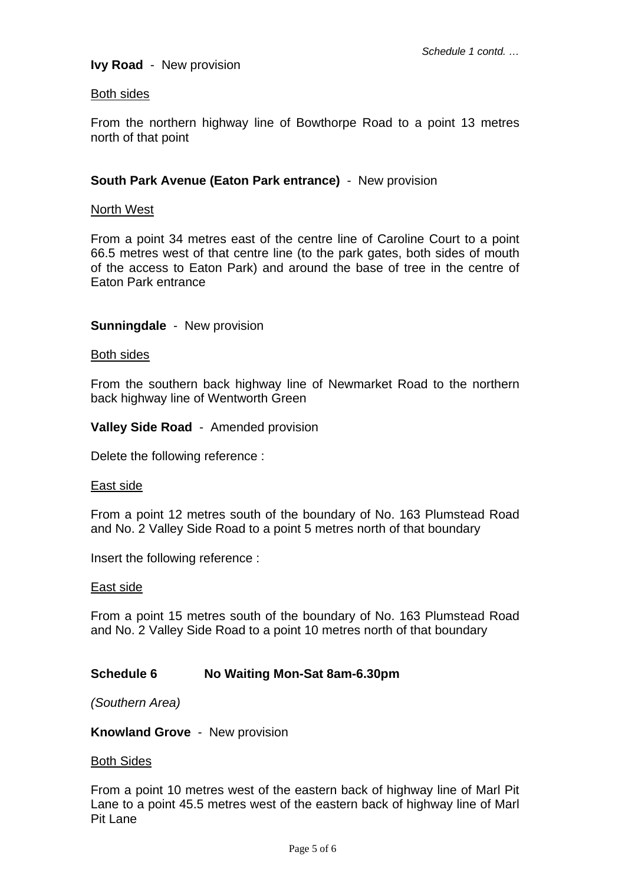## **Ivy Road** - New provision

#### Both sides

From the northern highway line of Bowthorpe Road to a point 13 metres north of that point

## **South Park Avenue (Eaton Park entrance)** - New provision

#### North West

From a point 34 metres east of the centre line of Caroline Court to a point 66.5 metres west of that centre line (to the park gates, both sides of mouth of the access to Eaton Park) and around the base of tree in the centre of Eaton Park entrance

## **Sunningdale** - New provision

#### Both sides

From the southern back highway line of Newmarket Road to the northern back highway line of Wentworth Green

**Valley Side Road** - Amended provision

Delete the following reference :

#### East side

From a point 12 metres south of the boundary of No. 163 Plumstead Road and No. 2 Valley Side Road to a point 5 metres north of that boundary

Insert the following reference :

#### East side

From a point 15 metres south of the boundary of No. 163 Plumstead Road and No. 2 Valley Side Road to a point 10 metres north of that boundary

## **Schedule 6 No Waiting Mon-Sat 8am-6.30pm**

*(Southern Area)* 

**Knowland Grove** - New provision

#### Both Sides

From a point 10 metres west of the eastern back of highway line of Marl Pit Lane to a point 45.5 metres west of the eastern back of highway line of Marl Pit Lane